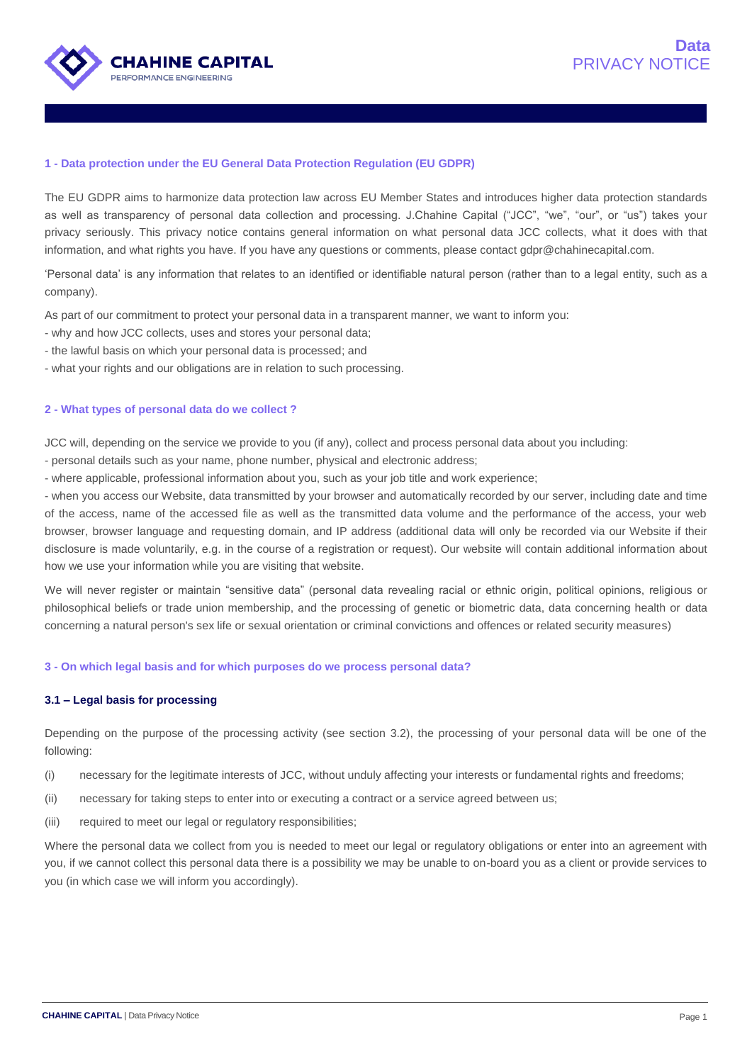

### **1 - Data protection under the EU General Data Protection Regulation (EU GDPR)**

The EU GDPR aims to harmonize data protection law across EU Member States and introduces higher data protection standards as well as transparency of personal data collection and processing. J.Chahine Capital ("JCC", "we", "our", or "us") takes your privacy seriously. This privacy notice contains general information on what personal data JCC collects, what it does with that information, and what rights you have. If you have any questions or comments, please contact gdpr@chahinecapital.com.

'Personal data' is any information that relates to an identified or identifiable natural person (rather than to a legal entity, such as a company).

As part of our commitment to protect your personal data in a transparent manner, we want to inform you:

- why and how JCC collects, uses and stores your personal data;
- the lawful basis on which your personal data is processed; and
- what your rights and our obligations are in relation to such processing.

## **2 - What types of personal data do we collect ?**

JCC will, depending on the service we provide to you (if any), collect and process personal data about you including:

- personal details such as your name, phone number, physical and electronic address;
- where applicable, professional information about you, such as your job title and work experience;

- when you access our Website, data transmitted by your browser and automatically recorded by our server, including date and time of the access, name of the accessed file as well as the transmitted data volume and the performance of the access, your web browser, browser language and requesting domain, and IP address (additional data will only be recorded via our Website if their disclosure is made voluntarily, e.g. in the course of a registration or request). Our website will contain additional information about how we use your information while you are visiting that website.

We will never register or maintain "sensitive data" (personal data revealing racial or ethnic origin, political opinions, religious or philosophical beliefs or trade union membership, and the processing of genetic or biometric data, data concerning health or data concerning a natural person's sex life or sexual orientation or criminal convictions and offences or related security measures)

#### **3 - On which legal basis and for which purposes do we process personal data?**

## **3.1 – Legal basis for processing**

Depending on the purpose of the processing activity (see section 3.2), the processing of your personal data will be one of the following:

- (i) necessary for the legitimate interests of JCC, without unduly affecting your interests or fundamental rights and freedoms;
- (ii) necessary for taking steps to enter into or executing a contract or a service agreed between us;
- (iii) required to meet our legal or regulatory responsibilities;

Where the personal data we collect from you is needed to meet our legal or regulatory obligations or enter into an agreement with you, if we cannot collect this personal data there is a possibility we may be unable to on-board you as a client or provide services to you (in which case we will inform you accordingly).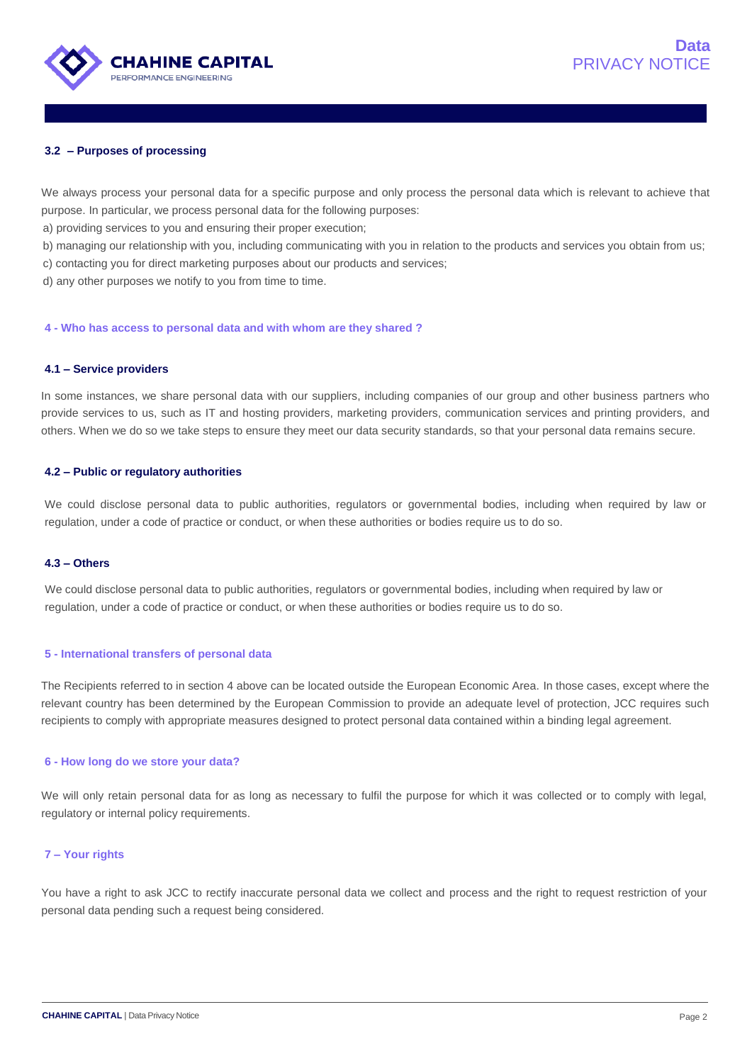

## **3.2 – Purposes of processing**

We always process your personal data for a specific purpose and only process the personal data which is relevant to achieve that purpose. In particular, we process personal data for the following purposes:

a) providing services to you and ensuring their proper execution;

b) managing our relationship with you, including communicating with you in relation to the products and services you obtain from us; c) contacting you for direct marketing purposes about our products and services;

d) any other purposes we notify to you from time to time.

**4 - Who has access to personal data and with whom are they shared ?**

### **4.1 – Service providers**

In some instances, we share personal data with our suppliers, including companies of our group and other business partners who provide services to us, such as IT and hosting providers, marketing providers, communication services and printing providers, and others. When we do so we take steps to ensure they meet our data security standards, so that your personal data remains secure.

### **4.2 – Public or regulatory authorities**

We could disclose personal data to public authorities, regulators or governmental bodies, including when required by law or regulation, under a code of practice or conduct, or when these authorities or bodies require us to do so.

### **4.3 – Others**

We could disclose personal data to public authorities, regulators or governmental bodies, including when required by law or regulation, under a code of practice or conduct, or when these authorities or bodies require us to do so.

### **5 - International transfers of personal data**

The Recipients referred to in section 4 above can be located outside the European Economic Area. In those cases, except where the relevant country has been determined by the European Commission to provide an adequate level of protection, JCC requires such recipients to comply with appropriate measures designed to protect personal data contained within a binding legal agreement.

### **6 - How long do we store your data?**

We will only retain personal data for as long as necessary to fulfil the purpose for which it was collected or to comply with legal, regulatory or internal policy requirements.

### **7 – Your rights**

You have a right to ask JCC to rectify inaccurate personal data we collect and process and the right to request restriction of your personal data pending such a request being considered.